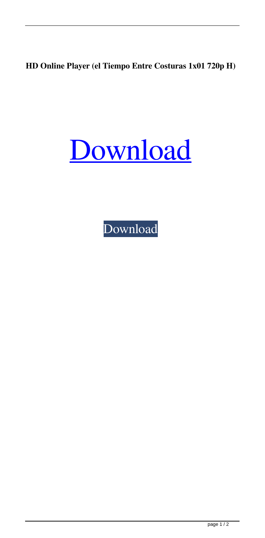**HD Online Player (el Tiempo Entre Costuras 1x01 720p H)**